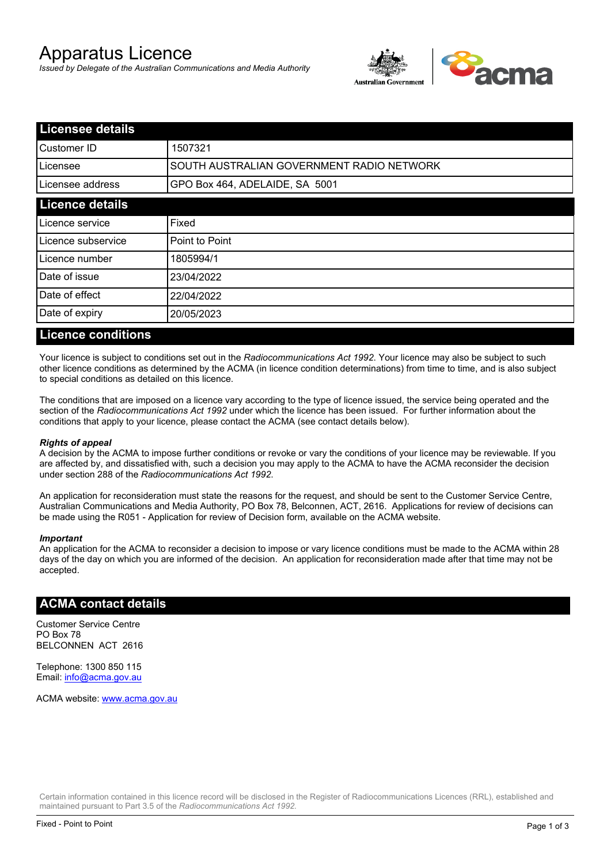# Apparatus Licence

*Issued by Delegate of the Australian Communications and Media Authority*



| <b>Licensee details</b> |                                           |  |
|-------------------------|-------------------------------------------|--|
| Customer ID             | 1507321                                   |  |
| ILicensee               | SOUTH AUSTRALIAN GOVERNMENT RADIO NETWORK |  |
| Licensee address        | GPO Box 464, ADELAIDE, SA 5001            |  |
| <b>Licence details</b>  |                                           |  |
| Licence service         | Fixed                                     |  |
| Licence subservice      | Point to Point                            |  |
| Licence number          | 1805994/1                                 |  |
| Date of issue           | 23/04/2022                                |  |
| Date of effect          | 22/04/2022                                |  |
| Date of expiry          | 20/05/2023                                |  |
|                         |                                           |  |

#### **Licence conditions**

Your licence is subject to conditions set out in the *Radiocommunications Act 1992*. Your licence may also be subject to such other licence conditions as determined by the ACMA (in licence condition determinations) from time to time, and is also subject to special conditions as detailed on this licence.

The conditions that are imposed on a licence vary according to the type of licence issued, the service being operated and the section of the *Radiocommunications Act 1992* under which the licence has been issued. For further information about the conditions that apply to your licence, please contact the ACMA (see contact details below).

#### *Rights of appeal*

A decision by the ACMA to impose further conditions or revoke or vary the conditions of your licence may be reviewable. If you are affected by, and dissatisfied with, such a decision you may apply to the ACMA to have the ACMA reconsider the decision under section 288 of the *Radiocommunications Act 1992*.

An application for reconsideration must state the reasons for the request, and should be sent to the Customer Service Centre, Australian Communications and Media Authority, PO Box 78, Belconnen, ACT, 2616. Applications for review of decisions can be made using the R051 - Application for review of Decision form, available on the ACMA website.

#### *Important*

An application for the ACMA to reconsider a decision to impose or vary licence conditions must be made to the ACMA within 28 days of the day on which you are informed of the decision. An application for reconsideration made after that time may not be accepted.

#### **ACMA contact details**

Customer Service Centre PO Box 78 BELCONNEN ACT 2616

Telephone: 1300 850 115 Email: info@acma.gov.au

ACMA website: www.acma.gov.au

Certain information contained in this licence record will be disclosed in the Register of Radiocommunications Licences (RRL), established and maintained pursuant to Part 3.5 of the *Radiocommunications Act 1992.*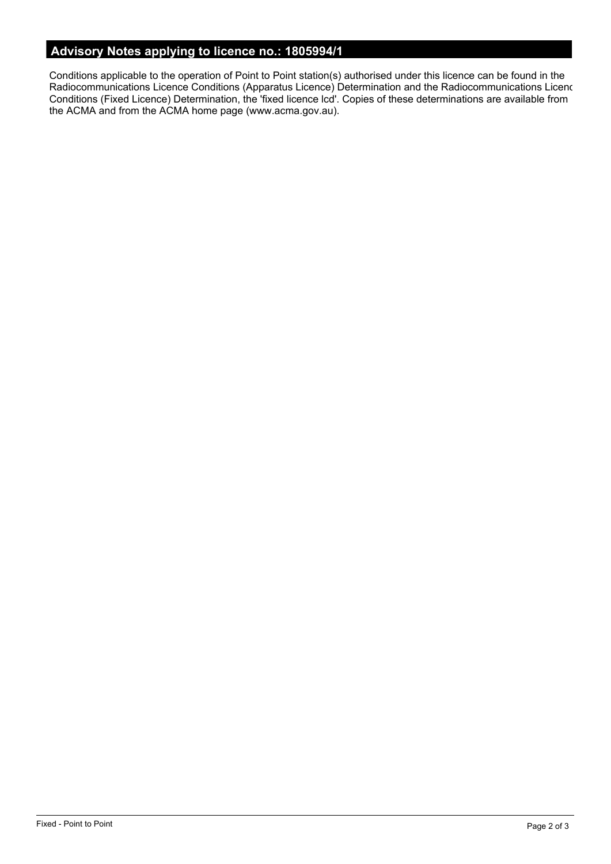# **Advisory Notes applying to licence no.: 1805994/1**

Conditions applicable to the operation of Point to Point station(s) authorised under this licence can be found in the Radiocommunications Licence Conditions (Apparatus Licence) Determination and the Radiocommunications Licence Conditions (Fixed Licence) Determination, the 'fixed licence lcd'. Copies of these determinations are available from the ACMA and from the ACMA home page (www.acma.gov.au).